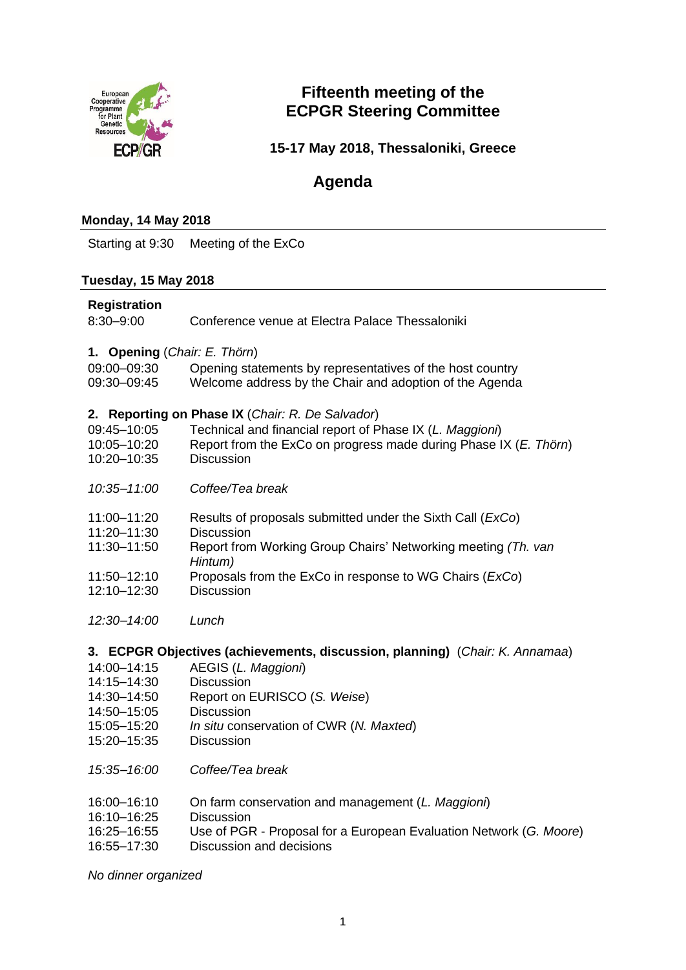

## **Fifteenth meeting of the ECPGR Steering Committee**

**15-17 May 2018, Thessaloniki, Greece**

# **Agenda**

#### **Monday, 14 May 2018**

Starting at 9:30 Meeting of the ExCo

#### **Tuesday, 15 May 2018**

#### **Registration**

| $8:30 - 9:00$ | Conference venue at Electra Palace Thessaloniki |  |
|---------------|-------------------------------------------------|--|
|               |                                                 |  |

**1. Opening** (*Chair: E. Thörn*)

| 09:00-09:30 | Opening statements by representatives of the host country |
|-------------|-----------------------------------------------------------|
| 09:30-09:45 | Welcome address by the Chair and adoption of the Agenda   |

#### **2. Reporting on Phase IX** (*Chair: R. De Salvador*)

| $\blacksquare$ we potently on the cool in (origin, it, bo candadi) |                                                                     |  |
|--------------------------------------------------------------------|---------------------------------------------------------------------|--|
| 09:45-10:05                                                        | Technical and financial report of Phase IX (L. Maggioni)            |  |
| 10:05-10:20                                                        | Report from the ExCo on progress made during Phase IX (E. Thörn)    |  |
| 10:20-10:35                                                        | <b>Discussion</b>                                                   |  |
|                                                                    |                                                                     |  |
| 10:35-11:00                                                        | Coffee/Tea break                                                    |  |
|                                                                    |                                                                     |  |
| 11:00-11:20                                                        | Results of proposals submitted under the Sixth Call ( <i>ExCo</i> ) |  |
| 11.00.11.00                                                        | Dissussion                                                          |  |

- 11:20–11:30 Discussion
- 11:30–11:50 Report from Working Group Chairs' Networking meeting *(Th. van Hintum)*
- 11:50–12:10 Proposals from the ExCo in response to WG Chairs (*ExCo*)
- 12:10–12:30 Discussion
- *12:30–14:00 Lunch*

#### **3. ECPGR Objectives (achievements, discussion, planning)** (*Chair: K. Annamaa*)

- 14:00–14:15 AEGIS (*L. Maggioni*)
- 14:15–14:30 Discussion
- 14:30–14:50 Report on EURISCO (*S. Weise*)
- 14:50–15:05 Discussion
- 15:05–15:20 *In situ* conservation of CWR (*N. Maxted*)
- 15:20–15:35 Discussion
- *15:35–16:00 Coffee/Tea break*
- 16:00–16:10 On farm conservation and management (*L. Maggioni*)
- 16:10–16:25 Discussion
- 16:25–16:55 Use of PGR Proposal for a European Evaluation Network (*G. Moore*)
- 16:55–17:30 Discussion and decisions

*No dinner organized*